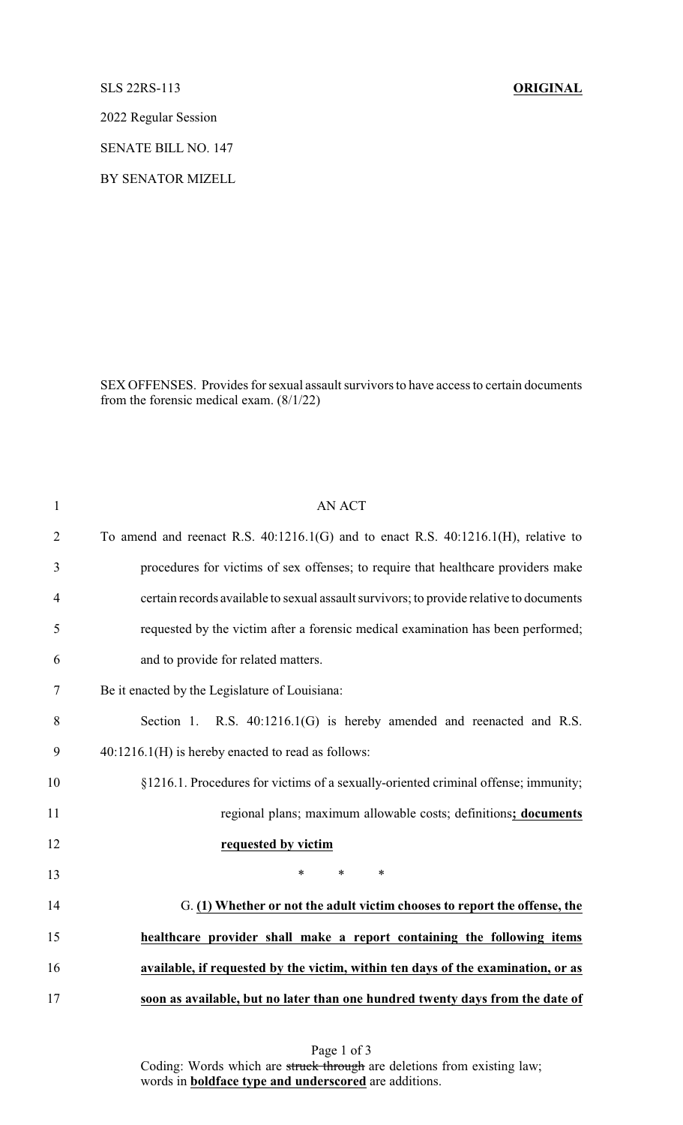## SLS 22RS-113 **ORIGINAL**

2022 Regular Session

SENATE BILL NO. 147

BY SENATOR MIZELL

SEX OFFENSES. Provides for sexual assault survivors to have access to certain documents from the forensic medical exam. (8/1/22)

| $\mathbf{1}$   | <b>AN ACT</b>                                                                           |
|----------------|-----------------------------------------------------------------------------------------|
| $\overline{2}$ | To amend and reenact R.S. $40:1216.1(G)$ and to enact R.S. $40:1216.1(H)$ , relative to |
| 3              | procedures for victims of sex offenses; to require that healthcare providers make       |
| $\overline{4}$ | certain records available to sexual assault survivors; to provide relative to documents |
| 5              | requested by the victim after a forensic medical examination has been performed;        |
| 6              | and to provide for related matters.                                                     |
| 7              | Be it enacted by the Legislature of Louisiana:                                          |
| 8              | Section 1. R.S. $40:1216.1(G)$ is hereby amended and reenacted and R.S.                 |
| 9              | $40:1216.1(H)$ is hereby enacted to read as follows:                                    |
| 10             | §1216.1. Procedures for victims of a sexually-oriented criminal offense; immunity;      |
| 11             | regional plans; maximum allowable costs; definitions; documents                         |
| 12             | requested by victim                                                                     |
| 13             | $\ast$<br>$\ast$<br>$\ast$                                                              |
| 14             | G. (1) Whether or not the adult victim chooses to report the offense, the               |
| 15             | healthcare provider shall make a report containing the following items                  |
| 16             | available, if requested by the victim, within ten days of the examination, or as        |
| 17             | soon as available, but no later than one hundred twenty days from the date of           |

Page 1 of 3 Coding: Words which are struck through are deletions from existing law; words in **boldface type and underscored** are additions.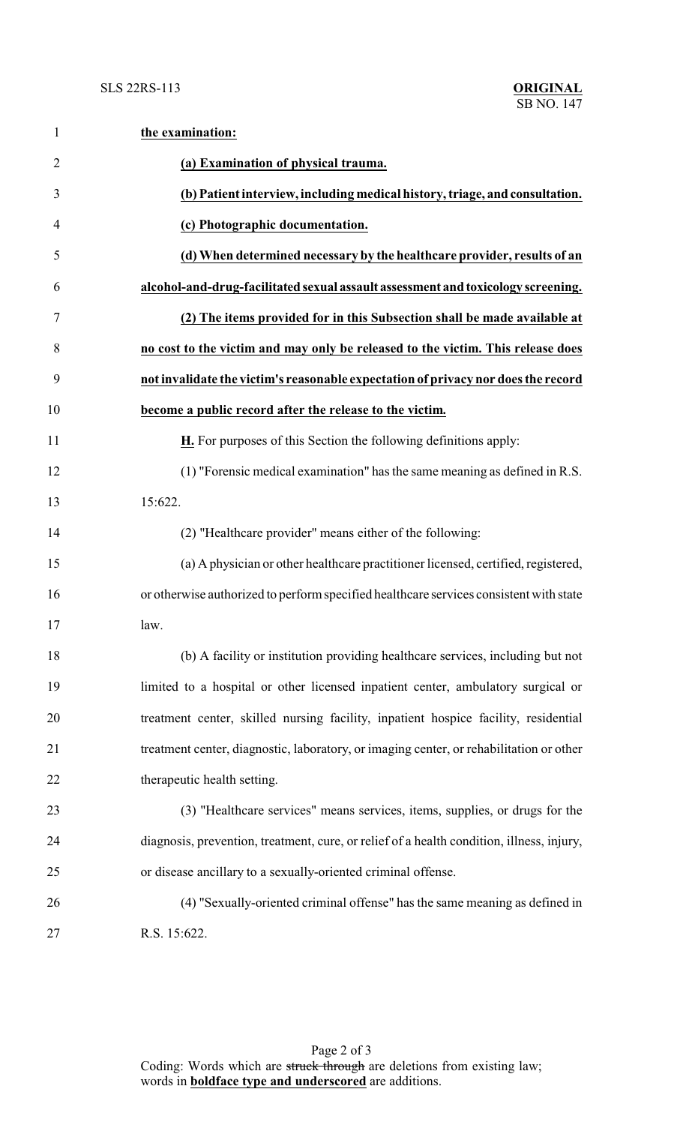| $\mathbf{1}$   | the examination:                                                                          |
|----------------|-------------------------------------------------------------------------------------------|
| $\overline{2}$ | (a) Examination of physical trauma.                                                       |
| 3              | (b) Patient interview, including medical history, triage, and consultation.               |
| $\overline{4}$ | (c) Photographic documentation.                                                           |
| 5              | (d) When determined necessary by the healthcare provider, results of an                   |
| 6              | alcohol-and-drug-facilitated sexual assault assessment and toxicology screening.          |
| 7              | (2) The items provided for in this Subsection shall be made available at                  |
| 8              | no cost to the victim and may only be released to the victim. This release does           |
| 9              | not invalidate the victim's reasonable expectation of privacy nor does the record         |
| 10             | become a public record after the release to the victim.                                   |
| 11             | <b>H.</b> For purposes of this Section the following definitions apply:                   |
| 12             | (1) "Forensic medical examination" has the same meaning as defined in R.S.                |
| 13             | 15:622.                                                                                   |
| 14             | (2) "Healthcare provider" means either of the following:                                  |
| 15             | (a) A physician or other healthcare practitioner licensed, certified, registered,         |
| 16             | or otherwise authorized to perform specified healthcare services consistent with state    |
| 17             | law.                                                                                      |
| 18             | (b) A facility or institution providing healthcare services, including but not            |
| 19             | limited to a hospital or other licensed inpatient center, ambulatory surgical or          |
| 20             | treatment center, skilled nursing facility, inpatient hospice facility, residential       |
| 21             | treatment center, diagnostic, laboratory, or imaging center, or rehabilitation or other   |
| 22             | therapeutic health setting.                                                               |
| 23             | (3) "Healthcare services" means services, items, supplies, or drugs for the               |
| 24             | diagnosis, prevention, treatment, cure, or relief of a health condition, illness, injury, |
| 25             | or disease ancillary to a sexually-oriented criminal offense.                             |
| 26             | (4) "Sexually-oriented criminal offense" has the same meaning as defined in               |
| 27             | R.S. 15:622.                                                                              |